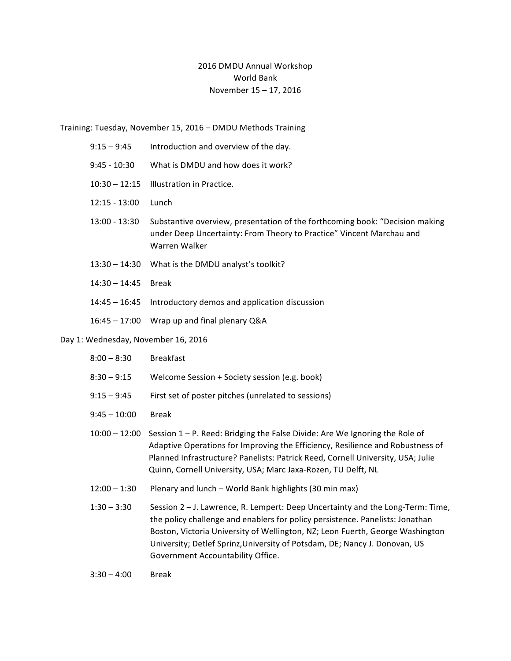## 2016 DMDU Annual Workshop World Bank November 15 - 17, 2016

Training: Tuesday, November 15, 2016 - DMDU Methods Training

|                                     | $9:15 - 9:45$   | Introduction and overview of the day.                                                                                                                                 |  |
|-------------------------------------|-----------------|-----------------------------------------------------------------------------------------------------------------------------------------------------------------------|--|
|                                     | $9:45 - 10:30$  | What is DMDU and how does it work?                                                                                                                                    |  |
|                                     | $10:30 - 12:15$ | Illustration in Practice.                                                                                                                                             |  |
|                                     | $12:15 - 13:00$ | Lunch                                                                                                                                                                 |  |
|                                     | $13:00 - 13:30$ | Substantive overview, presentation of the forthcoming book: "Decision making<br>under Deep Uncertainty: From Theory to Practice" Vincent Marchau and<br>Warren Walker |  |
|                                     |                 | 13:30 - 14:30 What is the DMDU analyst's toolkit?                                                                                                                     |  |
|                                     | $14:30 - 14:45$ | <b>Break</b>                                                                                                                                                          |  |
|                                     | $14:45 - 16:45$ | Introductory demos and application discussion                                                                                                                         |  |
|                                     | $16:45 - 17:00$ | Wrap up and final plenary Q&A                                                                                                                                         |  |
| Day 1: Wednesday, November 16, 2016 |                 |                                                                                                                                                                       |  |
|                                     | $8:00 - 8:30$   | <b>Breakfast</b>                                                                                                                                                      |  |
|                                     | $8:30 - 9:15$   | Welcome Session + Society session (e.g. book)                                                                                                                         |  |

9:15 - 9:45 First set of poster pitches (unrelated to sessions)

9:45 – 10:00 Break

 $10:00 - 12:00$  Session  $1 - P$ . Reed: Bridging the False Divide: Are We Ignoring the Role of Adaptive Operations for Improving the Efficiency, Resilience and Robustness of Planned Infrastructure? Panelists: Patrick Reed, Cornell University, USA; Julie Quinn, Cornell University, USA; Marc Jaxa-Rozen, TU Delft, NL

 $12:00 - 1:30$  Plenary and lunch – World Bank highlights (30 min max)

1:30 – 3:30 Session 2 – J. Lawrence, R. Lempert: Deep Uncertainty and the Long-Term: Time, the policy challenge and enablers for policy persistence. Panelists: Jonathan Boston, Victoria University of Wellington, NZ; Leon Fuerth, George Washington University; Detlef Sprinz, University of Potsdam, DE; Nancy J. Donovan, US Government Accountability Office.

3:30 – 4:00 Break